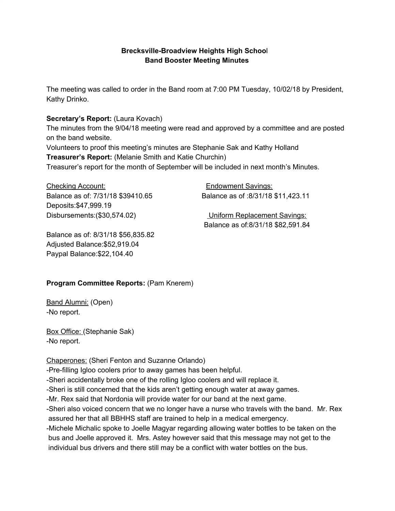## **Brecksville-Broadview Heights High Schoo**l **Band Booster Meeting Minutes**

The meeting was called to order in the Band room at 7:00 PM Tuesday, 10/02/18 by President, Kathy Drinko.

### **Secretary's Report:** (Laura Kovach)

The minutes from the 9/04/18 meeting were read and approved by a committee and are posted on the band website.

Volunteers to proof this meeting's minutes are Stephanie Sak and Kathy Holland **Treasurer's Report:** (Melanie Smith and Katie Churchin)

Treasurer's report for the month of September will be included in next month's Minutes.

Checking Account: Endowment Savings: Balance as of: 7/31/18 \$39410.65 Balance as of :8/31/18 \$11,423.11 Deposits:\$47,999.19 Disbursements:(\$30,574.02) Uniform Replacement Savings:

Balance as of:8/31/18 \$82,591.84

Balance as of: 8/31/18 \$56,835.82 Adjusted Balance:\$52,919.04 Paypal Balance:\$22,104.40

### **Program Committee Reports:** (Pam Knerem)

Band Alumni: (Open) -No report.

Box Office: (Stephanie Sak) -No report.

Chaperones: (Sheri Fenton and Suzanne Orlando) -Pre-filling Igloo coolers prior to away games has been helpful. -Sheri accidentally broke one of the rolling Igloo coolers and will replace it. -Sheri is still concerned that the kids aren't getting enough water at away games. -Mr. Rex said that Nordonia will provide water for our band at the next game. -Sheri also voiced concern that we no longer have a nurse who travels with the band. Mr. Rex assured her that all BBHHS staff are trained to help in a medical emergency. -Michele Michalic spoke to Joelle Magyar regarding allowing water bottles to be taken on the bus and Joelle approved it. Mrs. Astey however said that this message may not get to the individual bus drivers and there still may be a conflict with water bottles on the bus.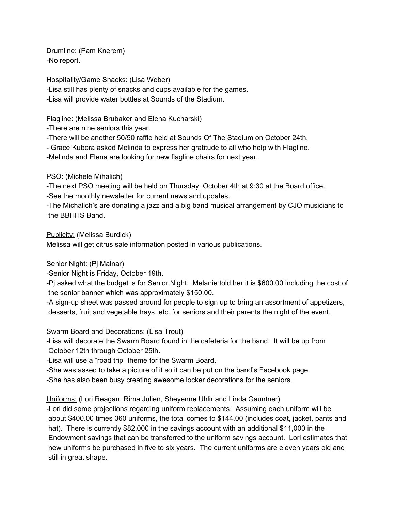Drumline: (Pam Knerem) -No report.

Hospitality/Game Snacks: (Lisa Weber)

-Lisa still has plenty of snacks and cups available for the games.

-Lisa will provide water bottles at Sounds of the Stadium.

Flagline: (Melissa Brubaker and Elena Kucharski)

-There are nine seniors this year.

-There will be another 50/50 raffle held at Sounds Of The Stadium on October 24th.

- Grace Kubera asked Melinda to express her gratitude to all who help with Flagline.

-Melinda and Elena are looking for new flagline chairs for next year.

# PSO: (Michele Mihalich)

-The next PSO meeting will be held on Thursday, October 4th at 9:30 at the Board office. -See the monthly newsletter for current news and updates.

-The Michalich's are donating a jazz and a big band musical arrangement by CJO musicians to the BBHHS Band.

Publicity: (Melissa Burdick)

Melissa will get citrus sale information posted in various publications.

### Senior Night: (Pj Malnar)

-Senior Night is Friday, October 19th.

-Pj asked what the budget is for Senior Night. Melanie told her it is \$600.00 including the cost of the senior banner which was approximately \$150.00.

-A sign-up sheet was passed around for people to sign up to bring an assortment of appetizers, desserts, fruit and vegetable trays, etc. for seniors and their parents the night of the event.

### Swarm Board and Decorations: (Lisa Trout)

-Lisa will decorate the Swarm Board found in the cafeteria for the band. It will be up from October 12th through October 25th.

-Lisa will use a "road trip" theme for the Swarm Board.

-She was asked to take a picture of it so it can be put on the band's Facebook page.

-She has also been busy creating awesome locker decorations for the seniors.

Uniforms: (Lori Reagan, Rima Julien, Sheyenne Uhlir and Linda Gauntner)

-Lori did some projections regarding uniform replacements. Assuming each uniform will be about \$400.00 times 360 uniforms, the total comes to \$144,00 (includes coat, jacket, pants and hat). There is currently \$82,000 in the savings account with an additional \$11,000 in the Endowment savings that can be transferred to the uniform savings account. Lori estimates that new uniforms be purchased in five to six years. The current uniforms are eleven years old and still in great shape.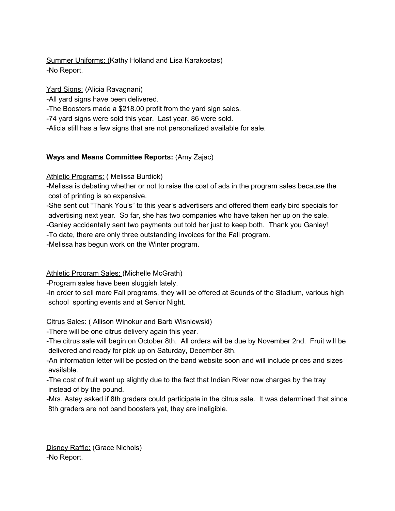Summer Uniforms: (Kathy Holland and Lisa Karakostas) -No Report.

Yard Signs: (Alicia Ravagnani)

-All yard signs have been delivered.

-The Boosters made a \$218.00 profit from the yard sign sales.

-74 yard signs were sold this year. Last year, 86 were sold.

-Alicia still has a few signs that are not personalized available for sale.

# **Ways and Means Committee Reports:** (Amy Zajac)

Athletic Programs: (Melissa Burdick)

-Melissa is debating whether or not to raise the cost of ads in the program sales because the cost of printing is so expensive.

-She sent out "Thank You's" to this year's advertisers and offered them early bird specials for advertising next year. So far, she has two companies who have taken her up on the sale.

-Ganley accidentally sent two payments but told her just to keep both. Thank you Ganley!

-To date, there are only three outstanding invoices for the Fall program.

-Melissa has begun work on the Winter program.

Athletic Program Sales: (Michelle McGrath)

-Program sales have been sluggish lately.

-In order to sell more Fall programs, they will be offered at Sounds of the Stadium, various high school sporting events and at Senior Night.

Citrus Sales: ( Allison Winokur and Barb Wisniewski)

-There will be one citrus delivery again this year.

-The citrus sale will begin on October 8th. All orders will be due by November 2nd. Fruit will be delivered and ready for pick up on Saturday, December 8th.

-An information letter will be posted on the band website soon and will include prices and sizes available.

-The cost of fruit went up slightly due to the fact that Indian River now charges by the tray instead of by the pound.

-Mrs. Astey asked if 8th graders could participate in the citrus sale. It was determined that since 8th graders are not band boosters yet, they are ineligible.

Disney Raffle: (Grace Nichols) -No Report.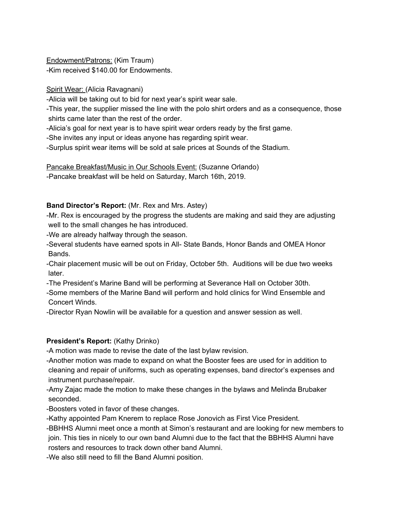Endowment/Patrons: (Kim Traum) -Kim received \$140.00 for Endowments.

Spirit Wear: (Alicia Ravagnani)

-Alicia will be taking out to bid for next year's spirit wear sale.

-This year, the supplier missed the line with the polo shirt orders and as a consequence, those shirts came later than the rest of the order.

-Alicia's goal for next year is to have spirit wear orders ready by the first game.

-She invites any input or ideas anyone has regarding spirit wear.

-Surplus spirit wear items will be sold at sale prices at Sounds of the Stadium.

Pancake Breakfast/Music in Our Schools Event: (Suzanne Orlando)

-Pancake breakfast will be held on Saturday, March 16th, 2019.

### **Band Director's Report:** (Mr. Rex and Mrs. Astey)

-Mr. Rex is encouraged by the progress the students are making and said they are adjusting well to the small changes he has introduced.

-We are already halfway through the season.

-Several students have earned spots in All- State Bands, Honor Bands and OMEA Honor Bands.

-Chair placement music will be out on Friday, October 5th. Auditions will be due two weeks later.

-The President's Marine Band will be performing at Severance Hall on October 30th.

-Some members of the Marine Band will perform and hold clinics for Wind Ensemble and Concert Winds.

-Director Ryan Nowlin will be available for a question and answer session as well.

### **President's Report:** (Kathy Drinko)

-A motion was made to revise the date of the last bylaw revision.

-Another motion was made to expand on what the Booster fees are used for in addition to cleaning and repair of uniforms, such as operating expenses, band director's expenses and instrument purchase/repair.

-Amy Zajac made the motion to make these changes in the bylaws and Melinda Brubaker seconded.

-Boosters voted in favor of these changes.

-Kathy appointed Pam Knerem to replace Rose Jonovich as First Vice President.

-BBHHS Alumni meet once a month at Simon's restaurant and are looking for new members to join. This ties in nicely to our own band Alumni due to the fact that the BBHHS Alumni have rosters and resources to track down other band Alumni.

-We also still need to fill the Band Alumni position.